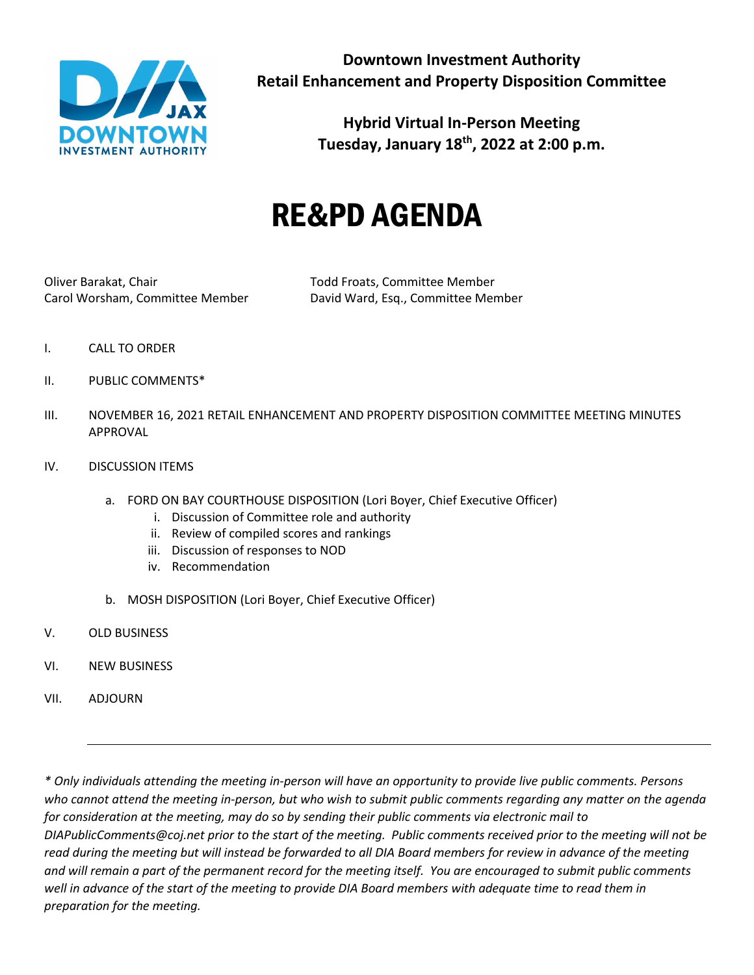

**Downtown Investment Authority Retail Enhancement and Property Disposition Committee**

> **Hybrid Virtual In-Person Meeting Tuesday, January 18th, 2022 at 2:00 p.m.**

# RE&PD AGENDA

Oliver Barakat, Chair Todd Froats, Committee Member

Carol Worsham, Committee Member David Ward, Esq., Committee Member

- I. CALL TO ORDER
- II. PUBLIC COMMENTS\*
- III. NOVEMBER 16, 2021 RETAIL ENHANCEMENT AND PROPERTY DISPOSITION COMMITTEE MEETING MINUTES APPROVAL
- IV. DISCUSSION ITEMS
	- a. FORD ON BAY COURTHOUSE DISPOSITION (Lori Boyer, Chief Executive Officer)
		- i. Discussion of Committee role and authority
		- ii. Review of compiled scores and rankings
		- iii. Discussion of responses to NOD
		- iv. Recommendation
	- b. MOSH DISPOSITION (Lori Boyer, Chief Executive Officer)
- V. OLD BUSINESS
- VI. NEW BUSINESS
- VII. ADJOURN

*\* Only individuals attending the meeting in-person will have an opportunity to provide live public comments. Persons who cannot attend the meeting in-person, but who wish to submit public comments regarding any matter on the agenda for consideration at the meeting, may do so by sending their public comments via electronic mail to DIAPublicComments@coj.net prior to the start of the meeting. Public comments received prior to the meeting will not be read during the meeting but will instead be forwarded to all DIA Board members for review in advance of the meeting and will remain a part of the permanent record for the meeting itself. You are encouraged to submit public comments well in advance of the start of the meeting to provide DIA Board members with adequate time to read them in preparation for the meeting.*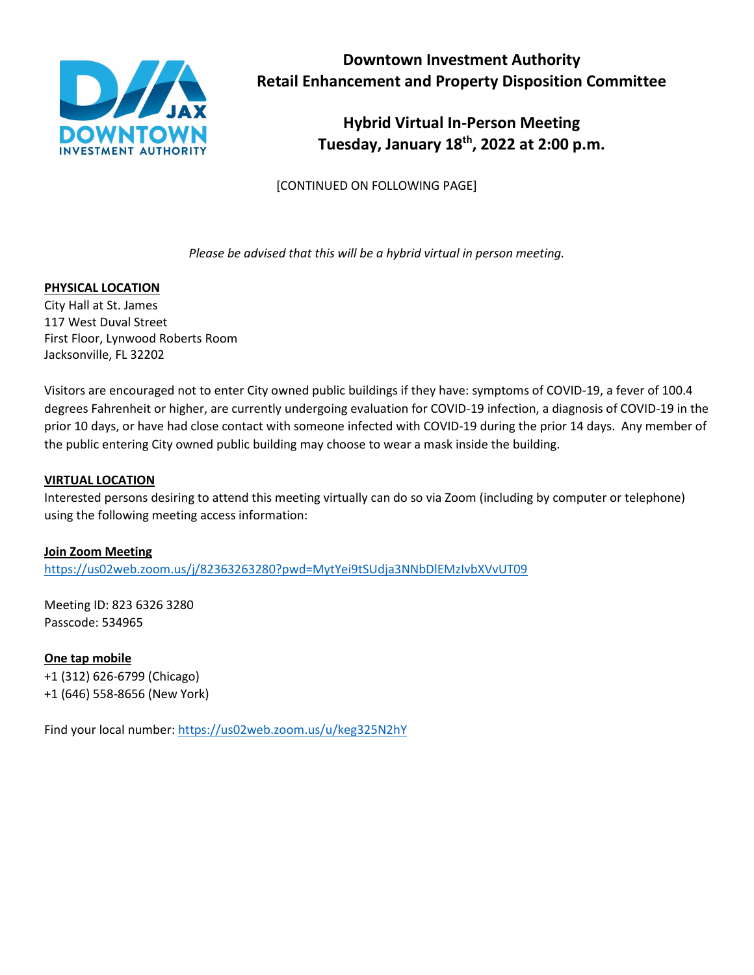

**Downtown Investment Authority Retail Enhancement and Property Disposition Committee**

> **Hybrid Virtual In-Person Meeting Tuesday, January 18th, 2022 at 2:00 p.m.**

[CONTINUED ON FOLLOWING PAGE]

*Please be advised that this will be a hybrid virtual in person meeting.*

### **PHYSICAL LOCATION**

City Hall at St. James 117 West Duval Street First Floor, Lynwood Roberts Room Jacksonville, FL 32202

Visitors are encouraged not to enter City owned public buildings if they have: symptoms of COVID-19, a fever of 100.4 degrees Fahrenheit or higher, are currently undergoing evaluation for COVID-19 infection, a diagnosis of COVID-19 in the prior 10 days, or have had close contact with someone infected with COVID-19 during the prior 14 days. Any member of the public entering City owned public building may choose to wear a mask inside the building.

### **VIRTUAL LOCATION**

Interested persons desiring to attend this meeting virtually can do so via Zoom (including by computer or telephone) using the following meeting access information:

#### **Join Zoom Meeting**

<https://us02web.zoom.us/j/82363263280?pwd=MytYei9tSUdja3NNbDlEMzIvbXVvUT09>

Meeting ID: 823 6326 3280 Passcode: 534965

**One tap mobile** +1 (312) 626-6799 (Chicago) +1 (646) 558-8656 (New York)

Find your local number[: https://us02web.zoom.us/u/keg325N2hY](https://us02web.zoom.us/u/keg325N2hY)